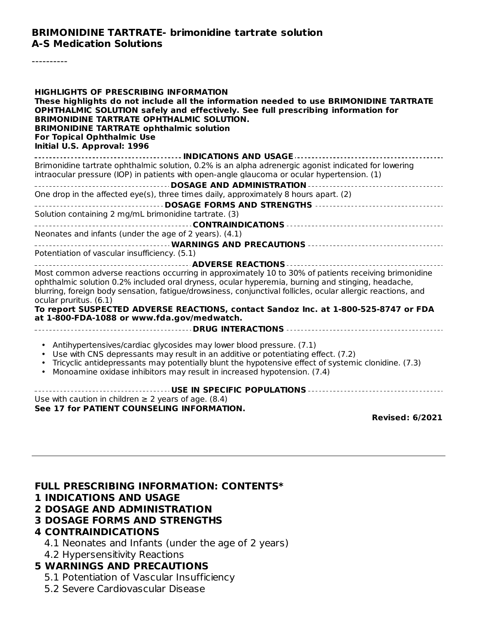----------

| <b>HIGHLIGHTS OF PRESCRIBING INFORMATION</b><br>These highlights do not include all the information needed to use BRIMONIDINE TARTRATE<br>OPHTHALMIC SOLUTION safely and effectively. See full prescribing information for<br><b>BRIMONIDINE TARTRATE OPHTHALMIC SOLUTION.</b><br><b>BRIMONIDINE TARTRATE ophthalmic solution</b><br><b>For Topical Ophthalmic Use</b><br>Initial U.S. Approval: 1996 |
|-------------------------------------------------------------------------------------------------------------------------------------------------------------------------------------------------------------------------------------------------------------------------------------------------------------------------------------------------------------------------------------------------------|
|                                                                                                                                                                                                                                                                                                                                                                                                       |
| Brimonidine tartrate ophthalmic solution, 0.2% is an alpha adrenergic agonist indicated for lowering<br>intraocular pressure (IOP) in patients with open-angle glaucoma or ocular hypertension. (1)                                                                                                                                                                                                   |
|                                                                                                                                                                                                                                                                                                                                                                                                       |
| One drop in the affected eye(s), three times daily, approximately 8 hours apart. (2)                                                                                                                                                                                                                                                                                                                  |
| Solution containing 2 mg/mL brimonidine tartrate. (3)                                                                                                                                                                                                                                                                                                                                                 |
|                                                                                                                                                                                                                                                                                                                                                                                                       |
| Neonates and infants (under the age of 2 years). (4.1)                                                                                                                                                                                                                                                                                                                                                |
|                                                                                                                                                                                                                                                                                                                                                                                                       |
| Potentiation of vascular insufficiency. (5.1)                                                                                                                                                                                                                                                                                                                                                         |
|                                                                                                                                                                                                                                                                                                                                                                                                       |
| Most common adverse reactions occurring in approximately 10 to 30% of patients receiving brimonidine<br>ophthalmic solution 0.2% included oral dryness, ocular hyperemia, burning and stinging, headache,<br>blurring, foreign body sensation, fatigue/drowsiness, conjunctival follicles, ocular allergic reactions, and<br>ocular pruritus. (6.1)                                                   |
| To report SUSPECTED ADVERSE REACTIONS, contact Sandoz Inc. at 1-800-525-8747 or FDA<br>at 1-800-FDA-1088 or www.fda.gov/medwatch.                                                                                                                                                                                                                                                                     |
|                                                                                                                                                                                                                                                                                                                                                                                                       |
| • Antihypertensives/cardiac glycosides may lower blood pressure. (7.1)<br>Use with CNS depressants may result in an additive or potentiating effect. (7.2)<br>Tricyclic antidepressants may potentially blunt the hypotensive effect of systemic clonidine. (7.3)<br>Monoamine oxidase inhibitors may result in increased hypotension. (7.4)                                                          |
| USE IN SPECIFIC POPULATIONS                                                                                                                                                                                                                                                                                                                                                                           |
| Use with caution in children $\geq 2$ years of age. (8.4)                                                                                                                                                                                                                                                                                                                                             |
| See 17 for PATIENT COUNSELING INFORMATION.                                                                                                                                                                                                                                                                                                                                                            |
| <b>Revised: 6/2021</b>                                                                                                                                                                                                                                                                                                                                                                                |

**FULL PRESCRIBING INFORMATION: CONTENTS\***

#### **1 INDICATIONS AND USAGE**

#### **2 DOSAGE AND ADMINISTRATION**

#### **3 DOSAGE FORMS AND STRENGTHS**

#### **4 CONTRAINDICATIONS**

- 4.1 Neonates and Infants (under the age of 2 years)
- 4.2 Hypersensitivity Reactions

### **5 WARNINGS AND PRECAUTIONS**

- 5.1 Potentiation of Vascular Insufficiency
- 5.2 Severe Cardiovascular Disease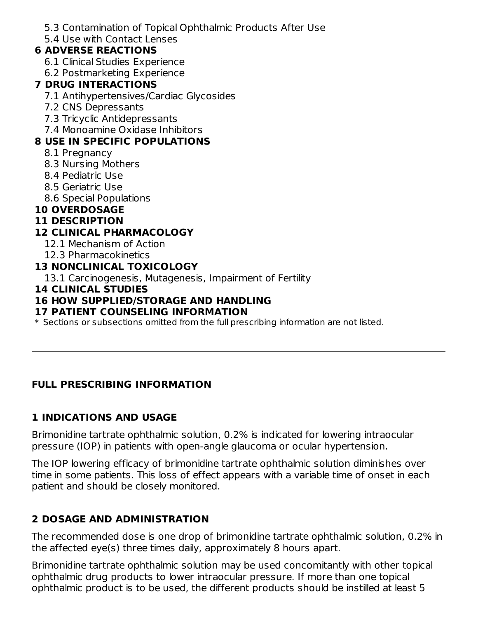5.3 Contamination of Topical Ophthalmic Products After Use

5.4 Use with Contact Lenses

### **6 ADVERSE REACTIONS**

- 6.1 Clinical Studies Experience
- 6.2 Postmarketing Experience

### **7 DRUG INTERACTIONS**

- 7.1 Antihypertensives/Cardiac Glycosides
- 7.2 CNS Depressants
- 7.3 Tricyclic Antidepressants
- 7.4 Monoamine Oxidase Inhibitors

# **8 USE IN SPECIFIC POPULATIONS**

- 8.1 Pregnancy
- 8.3 Nursing Mothers
- 8.4 Pediatric Use
- 8.5 Geriatric Use
- 8.6 Special Populations

# **10 OVERDOSAGE**

### **11 DESCRIPTION**

# **12 CLINICAL PHARMACOLOGY**

- 12.1 Mechanism of Action
- 12.3 Pharmacokinetics

# **13 NONCLINICAL TOXICOLOGY**

13.1 Carcinogenesis, Mutagenesis, Impairment of Fertility

### **14 CLINICAL STUDIES**

# **16 HOW SUPPLIED/STORAGE AND HANDLING**

#### **17 PATIENT COUNSELING INFORMATION**

 $\ast$  Sections or subsections omitted from the full prescribing information are not listed.

# **FULL PRESCRIBING INFORMATION**

# **1 INDICATIONS AND USAGE**

Brimonidine tartrate ophthalmic solution, 0.2% is indicated for lowering intraocular pressure (IOP) in patients with open-angle glaucoma or ocular hypertension.

The IOP lowering efficacy of brimonidine tartrate ophthalmic solution diminishes over time in some patients. This loss of effect appears with a variable time of onset in each patient and should be closely monitored.

# **2 DOSAGE AND ADMINISTRATION**

The recommended dose is one drop of brimonidine tartrate ophthalmic solution, 0.2% in the affected eye(s) three times daily, approximately 8 hours apart.

Brimonidine tartrate ophthalmic solution may be used concomitantly with other topical ophthalmic drug products to lower intraocular pressure. If more than one topical ophthalmic product is to be used, the different products should be instilled at least 5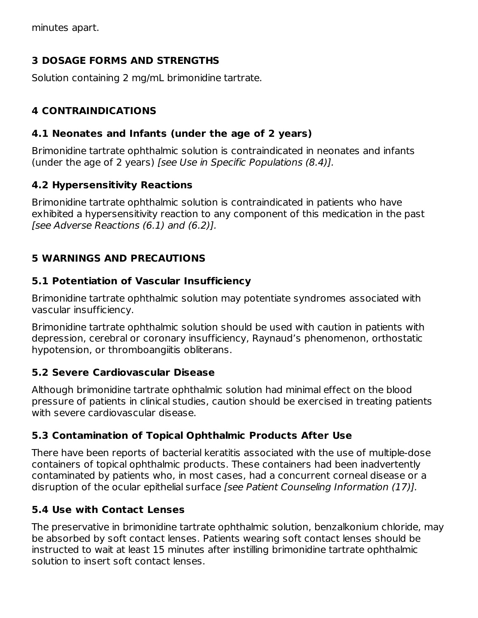minutes apart.

### **3 DOSAGE FORMS AND STRENGTHS**

Solution containing 2 mg/mL brimonidine tartrate.

# **4 CONTRAINDICATIONS**

### **4.1 Neonates and Infants (under the age of 2 years)**

Brimonidine tartrate ophthalmic solution is contraindicated in neonates and infants (under the age of 2 years) [see Use in Specific Populations (8.4)].

### **4.2 Hypersensitivity Reactions**

Brimonidine tartrate ophthalmic solution is contraindicated in patients who have exhibited a hypersensitivity reaction to any component of this medication in the past [see Adverse Reactions (6.1) and (6.2)].

# **5 WARNINGS AND PRECAUTIONS**

#### **5.1 Potentiation of Vascular Insufficiency**

Brimonidine tartrate ophthalmic solution may potentiate syndromes associated with vascular insufficiency.

Brimonidine tartrate ophthalmic solution should be used with caution in patients with depression, cerebral or coronary insufficiency, Raynaud's phenomenon, orthostatic hypotension, or thromboangiitis obliterans.

# **5.2 Severe Cardiovascular Disease**

Although brimonidine tartrate ophthalmic solution had minimal effect on the blood pressure of patients in clinical studies, caution should be exercised in treating patients with severe cardiovascular disease.

# **5.3 Contamination of Topical Ophthalmic Products After Use**

There have been reports of bacterial keratitis associated with the use of multiple-dose containers of topical ophthalmic products. These containers had been inadvertently contaminated by patients who, in most cases, had a concurrent corneal disease or a disruption of the ocular epithelial surface [see Patient Counseling Information (17)].

# **5.4 Use with Contact Lenses**

The preservative in brimonidine tartrate ophthalmic solution, benzalkonium chloride, may be absorbed by soft contact lenses. Patients wearing soft contact lenses should be instructed to wait at least 15 minutes after instilling brimonidine tartrate ophthalmic solution to insert soft contact lenses.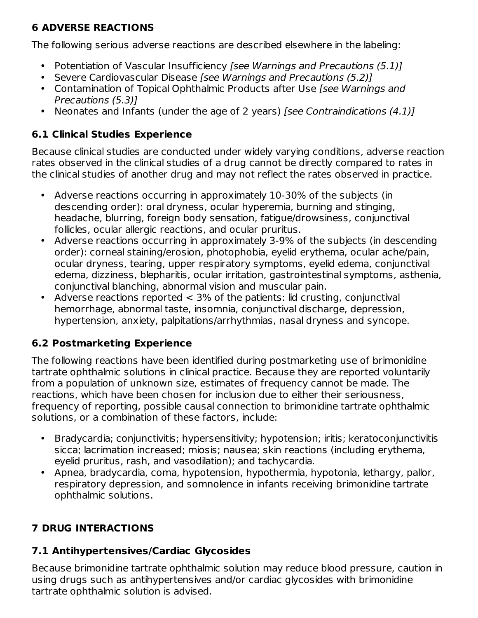# **6 ADVERSE REACTIONS**

The following serious adverse reactions are described elsewhere in the labeling:

- Potentiation of Vascular Insufficiency [see Warnings and Precautions (5.1)]
- Severe Cardiovascular Disease [see Warnings and Precautions (5.2)]
- Contamination of Topical Ophthalmic Products after Use [see Warnings and Precautions (5.3)]
- Neonates and Infants (under the age of 2 years) [see Contraindications (4.1)]

# **6.1 Clinical Studies Experience**

Because clinical studies are conducted under widely varying conditions, adverse reaction rates observed in the clinical studies of a drug cannot be directly compared to rates in the clinical studies of another drug and may not reflect the rates observed in practice.

- $\bullet$ Adverse reactions occurring in approximately 10-30% of the subjects (in descending order): oral dryness, ocular hyperemia, burning and stinging, headache, blurring, foreign body sensation, fatigue/drowsiness, conjunctival follicles, ocular allergic reactions, and ocular pruritus.
- Adverse reactions occurring in approximately 3-9% of the subjects (in descending order): corneal staining/erosion, photophobia, eyelid erythema, ocular ache/pain, ocular dryness, tearing, upper respiratory symptoms, eyelid edema, conjunctival edema, dizziness, blepharitis, ocular irritation, gastrointestinal symptoms, asthenia, conjunctival blanching, abnormal vision and muscular pain.
- $\bullet$ Adverse reactions reported < 3% of the patients: lid crusting, conjunctival hemorrhage, abnormal taste, insomnia, conjunctival discharge, depression, hypertension, anxiety, palpitations/arrhythmias, nasal dryness and syncope.

# **6.2 Postmarketing Experience**

The following reactions have been identified during postmarketing use of brimonidine tartrate ophthalmic solutions in clinical practice. Because they are reported voluntarily from a population of unknown size, estimates of frequency cannot be made. The reactions, which have been chosen for inclusion due to either their seriousness, frequency of reporting, possible causal connection to brimonidine tartrate ophthalmic solutions, or a combination of these factors, include:

- Bradycardia; conjunctivitis; hypersensitivity; hypotension; iritis; keratoconjunctivitis sicca; lacrimation increased; miosis; nausea; skin reactions (including erythema, eyelid pruritus, rash, and vasodilation); and tachycardia.
- Apnea, bradycardia, coma, hypotension, hypothermia, hypotonia, lethargy, pallor, respiratory depression, and somnolence in infants receiving brimonidine tartrate ophthalmic solutions.

# **7 DRUG INTERACTIONS**

# **7.1 Antihypertensives/Cardiac Glycosides**

Because brimonidine tartrate ophthalmic solution may reduce blood pressure, caution in using drugs such as antihypertensives and/or cardiac glycosides with brimonidine tartrate ophthalmic solution is advised.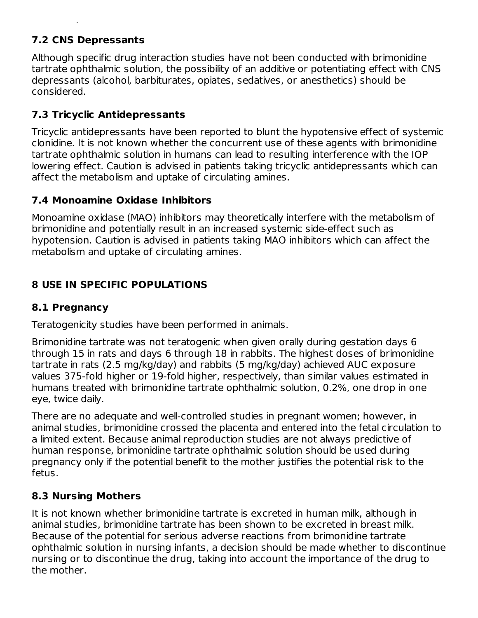# **7.2 CNS Depressants**

Although specific drug interaction studies have not been conducted with brimonidine tartrate ophthalmic solution, the possibility of an additive or potentiating effect with CNS depressants (alcohol, barbiturates, opiates, sedatives, or anesthetics) should be considered.

# **7.3 Tricyclic Antidepressants**

tartrate ophthalmic solution is advised.

Tricyclic antidepressants have been reported to blunt the hypotensive effect of systemic clonidine. It is not known whether the concurrent use of these agents with brimonidine tartrate ophthalmic solution in humans can lead to resulting interference with the IOP lowering effect. Caution is advised in patients taking tricyclic antidepressants which can affect the metabolism and uptake of circulating amines.

# **7.4 Monoamine Oxidase Inhibitors**

Monoamine oxidase (MAO) inhibitors may theoretically interfere with the metabolism of brimonidine and potentially result in an increased systemic side-effect such as hypotension. Caution is advised in patients taking MAO inhibitors which can affect the metabolism and uptake of circulating amines.

# **8 USE IN SPECIFIC POPULATIONS**

# **8.1 Pregnancy**

Teratogenicity studies have been performed in animals.

Brimonidine tartrate was not teratogenic when given orally during gestation days 6 through 15 in rats and days 6 through 18 in rabbits. The highest doses of brimonidine tartrate in rats (2.5 mg/kg/day) and rabbits (5 mg/kg/day) achieved AUC exposure values 375-fold higher or 19-fold higher, respectively, than similar values estimated in humans treated with brimonidine tartrate ophthalmic solution, 0.2%, one drop in one eye, twice daily.

There are no adequate and well-controlled studies in pregnant women; however, in animal studies, brimonidine crossed the placenta and entered into the fetal circulation to a limited extent. Because animal reproduction studies are not always predictive of human response, brimonidine tartrate ophthalmic solution should be used during pregnancy only if the potential benefit to the mother justifies the potential risk to the fetus.

# **8.3 Nursing Mothers**

It is not known whether brimonidine tartrate is excreted in human milk, although in animal studies, brimonidine tartrate has been shown to be excreted in breast milk. Because of the potential for serious adverse reactions from brimonidine tartrate ophthalmic solution in nursing infants, a decision should be made whether to discontinue nursing or to discontinue the drug, taking into account the importance of the drug to the mother.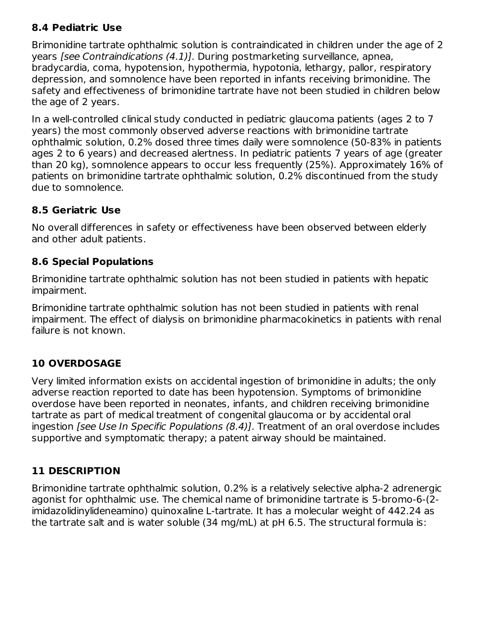# **8.4 Pediatric Use**

Brimonidine tartrate ophthalmic solution is contraindicated in children under the age of 2 years [see Contraindications (4.1)]. During postmarketing surveillance, apnea, bradycardia, coma, hypotension, hypothermia, hypotonia, lethargy, pallor, respiratory depression, and somnolence have been reported in infants receiving brimonidine. The safety and effectiveness of brimonidine tartrate have not been studied in children below the age of 2 years.

In a well-controlled clinical study conducted in pediatric glaucoma patients (ages 2 to 7 years) the most commonly observed adverse reactions with brimonidine tartrate ophthalmic solution, 0.2% dosed three times daily were somnolence (50-83% in patients ages 2 to 6 years) and decreased alertness. In pediatric patients 7 years of age (greater than 20 kg), somnolence appears to occur less frequently (25%). Approximately 16% of patients on brimonidine tartrate ophthalmic solution, 0.2% discontinued from the study due to somnolence.

# **8.5 Geriatric Use**

No overall differences in safety or effectiveness have been observed between elderly and other adult patients.

# **8.6 Special Populations**

Brimonidine tartrate ophthalmic solution has not been studied in patients with hepatic impairment.

Brimonidine tartrate ophthalmic solution has not been studied in patients with renal impairment. The effect of dialysis on brimonidine pharmacokinetics in patients with renal failure is not known.

# **10 OVERDOSAGE**

Very limited information exists on accidental ingestion of brimonidine in adults; the only adverse reaction reported to date has been hypotension. Symptoms of brimonidine overdose have been reported in neonates, infants, and children receiving brimonidine tartrate as part of medical treatment of congenital glaucoma or by accidental oral ingestion [see Use In Specific Populations (8.4)]. Treatment of an oral overdose includes supportive and symptomatic therapy; a patent airway should be maintained.

# **11 DESCRIPTION**

Brimonidine tartrate ophthalmic solution, 0.2% is a relatively selective alpha-2 adrenergic agonist for ophthalmic use. The chemical name of brimonidine tartrate is 5-bromo-6-(2 imidazolidinylideneamino) quinoxaline L-tartrate. It has a molecular weight of 442.24 as the tartrate salt and is water soluble (34 mg/mL) at pH 6.5. The structural formula is: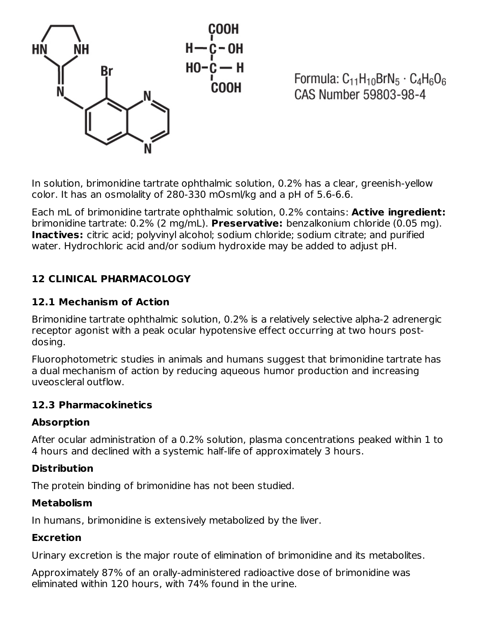

Formula:  $C_{11}H_{10}BrN_5 \cdot C_4H_6O_6$ CAS Number 59803-98-4

In solution, brimonidine tartrate ophthalmic solution, 0.2% has a clear, greenish-yellow color. It has an osmolality of 280-330 mOsml/kg and a pH of 5.6-6.6.

Each mL of brimonidine tartrate ophthalmic solution, 0.2% contains: **Active ingredient:** brimonidine tartrate: 0.2% (2 mg/mL). **Preservative:** benzalkonium chloride (0.05 mg). **Inactives:** citric acid; polyvinyl alcohol; sodium chloride; sodium citrate; and purified water. Hydrochloric acid and/or sodium hydroxide may be added to adjust pH.

# **12 CLINICAL PHARMACOLOGY**

# **12.1 Mechanism of Action**

Brimonidine tartrate ophthalmic solution, 0.2% is a relatively selective alpha-2 adrenergic receptor agonist with a peak ocular hypotensive effect occurring at two hours postdosing.

Fluorophotometric studies in animals and humans suggest that brimonidine tartrate has a dual mechanism of action by reducing aqueous humor production and increasing uveoscleral outflow.

#### **12.3 Pharmacokinetics**

# **Absorption**

After ocular administration of a 0.2% solution, plasma concentrations peaked within 1 to 4 hours and declined with a systemic half-life of approximately 3 hours.

#### **Distribution**

The protein binding of brimonidine has not been studied.

#### **Metabolism**

In humans, brimonidine is extensively metabolized by the liver.

#### **Excretion**

Urinary excretion is the major route of elimination of brimonidine and its metabolites.

Approximately 87% of an orally-administered radioactive dose of brimonidine was eliminated within 120 hours, with 74% found in the urine.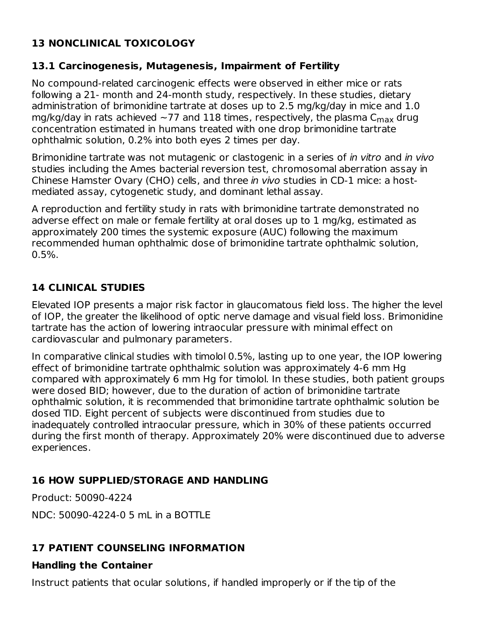# **13 NONCLINICAL TOXICOLOGY**

# **13.1 Carcinogenesis, Mutagenesis, Impairment of Fertility**

No compound-related carcinogenic effects were observed in either mice or rats following a 21- month and 24-month study, respectively. In these studies, dietary administration of brimonidine tartrate at doses up to 2.5 mg/kg/day in mice and 1.0 mg/kg/day in rats achieved  ${\sim}77$  and  $118$  times, respectively, the plasma  $\mathsf{C}_{\mathsf{max}}$  drug concentration estimated in humans treated with one drop brimonidine tartrate ophthalmic solution, 0.2% into both eyes 2 times per day.

Brimonidine tartrate was not mutagenic or clastogenic in a series of in vitro and in vivo studies including the Ames bacterial reversion test, chromosomal aberration assay in Chinese Hamster Ovary (CHO) cells, and three in vivo studies in CD-1 mice: a hostmediated assay, cytogenetic study, and dominant lethal assay.

A reproduction and fertility study in rats with brimonidine tartrate demonstrated no adverse effect on male or female fertility at oral doses up to 1 mg/kg, estimated as approximately 200 times the systemic exposure (AUC) following the maximum recommended human ophthalmic dose of brimonidine tartrate ophthalmic solution,  $0.5%$ .

# **14 CLINICAL STUDIES**

Elevated IOP presents a major risk factor in glaucomatous field loss. The higher the level of IOP, the greater the likelihood of optic nerve damage and visual field loss. Brimonidine tartrate has the action of lowering intraocular pressure with minimal effect on cardiovascular and pulmonary parameters.

In comparative clinical studies with timolol 0.5%, lasting up to one year, the IOP lowering effect of brimonidine tartrate ophthalmic solution was approximately 4-6 mm Hg compared with approximately 6 mm Hg for timolol. In these studies, both patient groups were dosed BID; however, due to the duration of action of brimonidine tartrate ophthalmic solution, it is recommended that brimonidine tartrate ophthalmic solution be dosed TID. Eight percent of subjects were discontinued from studies due to inadequately controlled intraocular pressure, which in 30% of these patients occurred during the first month of therapy. Approximately 20% were discontinued due to adverse experiences.

# **16 HOW SUPPLIED/STORAGE AND HANDLING**

Product: 50090-4224

NDC: 50090-4224-0 5 mL in a BOTTLE

# **17 PATIENT COUNSELING INFORMATION**

#### **Handling the Container**

Instruct patients that ocular solutions, if handled improperly or if the tip of the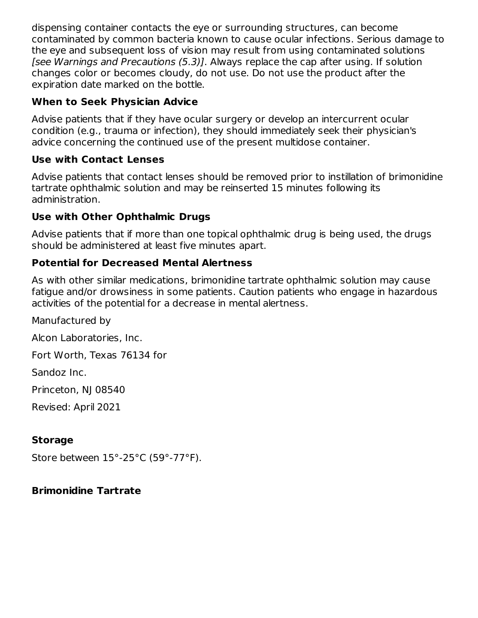dispensing container contacts the eye or surrounding structures, can become contaminated by common bacteria known to cause ocular infections. Serious damage to the eye and subsequent loss of vision may result from using contaminated solutions [see Warnings and Precautions (5.3)]. Always replace the cap after using. If solution changes color or becomes cloudy, do not use. Do not use the product after the expiration date marked on the bottle.

# **When to Seek Physician Advice**

Advise patients that if they have ocular surgery or develop an intercurrent ocular condition (e.g., trauma or infection), they should immediately seek their physician's advice concerning the continued use of the present multidose container.

# **Use with Contact Lenses**

Advise patients that contact lenses should be removed prior to instillation of brimonidine tartrate ophthalmic solution and may be reinserted 15 minutes following its administration.

# **Use with Other Ophthalmic Drugs**

Advise patients that if more than one topical ophthalmic drug is being used, the drugs should be administered at least five minutes apart.

# **Potential for Decreased Mental Alertness**

As with other similar medications, brimonidine tartrate ophthalmic solution may cause fatigue and/or drowsiness in some patients. Caution patients who engage in hazardous activities of the potential for a decrease in mental alertness.

Manufactured by

Alcon Laboratories, Inc.

Fort Worth, Texas 76134 for

Sandoz Inc.

Princeton, NJ 08540

Revised: April 2021

# **Storage**

Store between 15°-25°C (59°-77°F).

# **Brimonidine Tartrate**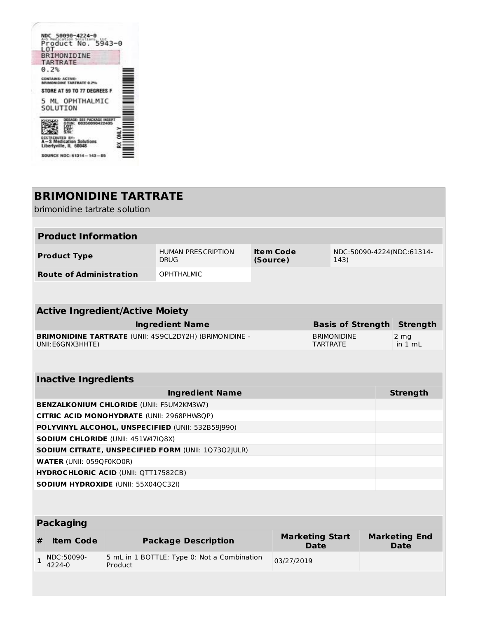| NDC 50090-4224-0                                             |
|--------------------------------------------------------------|
| 5943-0<br>Product No.<br>L O.T.                              |
| BRIMONIDINE                                                  |
| <b>TARTRATE</b>                                              |
| 0.2%                                                         |
| <b>CONTAINS: ACTIVE:</b><br><b>SRIMONIDINE TARTRATE 0.29</b> |
| STORE AT 59 TO 77 DEGREES F                                  |
| 5 ML OPHTHALMIC<br>SOLUTION                                  |
|                                                              |
| A-S Medication Solutions<br>Libertyville, IL 60048           |
| SOURCE NDC: 61314 - 143 - 05                                 |

**Barbara** 

|                                                   | <b>BRIMONIDINE TARTRATE</b><br>brimonidine tartrate solution |         |                                                               |          |                        |                 |                          |                                     |
|---------------------------------------------------|--------------------------------------------------------------|---------|---------------------------------------------------------------|----------|------------------------|-----------------|--------------------------|-------------------------------------|
|                                                   |                                                              |         |                                                               |          |                        |                 |                          |                                     |
|                                                   | <b>Product Information</b>                                   |         |                                                               |          |                        |                 |                          |                                     |
|                                                   | <b>Product Type</b>                                          |         | <b>HUMAN PRESCRIPTION</b><br><b>DRUG</b>                      | (Source) | <b>Item Code</b>       |                 | 143)                     | NDC:50090-4224(NDC:61314-           |
|                                                   | <b>Route of Administration</b>                               |         | <b>OPHTHALMIC</b>                                             |          |                        |                 |                          |                                     |
|                                                   |                                                              |         |                                                               |          |                        |                 |                          |                                     |
|                                                   | <b>Active Ingredient/Active Moiety</b>                       |         |                                                               |          |                        |                 |                          |                                     |
|                                                   |                                                              |         | <b>Ingredient Name</b>                                        |          |                        |                 | <b>Basis of Strength</b> | <b>Strength</b>                     |
|                                                   | UNII: E6GNX3HHTE)                                            |         | <b>BRIMONIDINE TARTRATE (UNII: 4S9CL2DY2H) (BRIMONIDINE -</b> |          |                        | <b>TARTRATE</b> | <b>BRIMONIDINE</b>       | 2 <sub>mg</sub><br>in $1 mL$        |
|                                                   |                                                              |         |                                                               |          |                        |                 |                          |                                     |
| <b>Inactive Ingredients</b>                       |                                                              |         |                                                               |          |                        |                 |                          |                                     |
|                                                   |                                                              |         | <b>Ingredient Name</b>                                        |          |                        |                 |                          | <b>Strength</b>                     |
|                                                   | <b>BENZALKONIUM CHLORIDE (UNII: F5UM2KM3W7)</b>              |         |                                                               |          |                        |                 |                          |                                     |
|                                                   |                                                              |         | CITRIC ACID MONOHYDRATE (UNII: 2968PHW8QP)                    |          |                        |                 |                          |                                     |
| POLYVINYL ALCOHOL, UNSPECIFIED (UNII: 532B59J990) |                                                              |         |                                                               |          |                        |                 |                          |                                     |
| SODIUM CHLORIDE (UNII: 451W47IQ8X)                |                                                              |         |                                                               |          |                        |                 |                          |                                     |
|                                                   |                                                              |         | SODIUM CITRATE, UNSPECIFIED FORM (UNII: 1Q73Q2JULR)           |          |                        |                 |                          |                                     |
|                                                   | <b>WATER (UNII: 059QF0KO0R)</b>                              |         |                                                               |          |                        |                 |                          |                                     |
|                                                   | <b>HYDROCHLORIC ACID (UNII: QTT17582CB)</b>                  |         |                                                               |          |                        |                 |                          |                                     |
|                                                   | SODIUM HYDROXIDE (UNII: 55X04QC32I)                          |         |                                                               |          |                        |                 |                          |                                     |
|                                                   |                                                              |         |                                                               |          |                        |                 |                          |                                     |
| <b>Packaging</b>                                  |                                                              |         |                                                               |          |                        |                 |                          |                                     |
| #                                                 | <b>Item Code</b>                                             |         | <b>Package Description</b>                                    |          | <b>Marketing Start</b> | <b>Date</b>     |                          | <b>Marketing End</b><br><b>Date</b> |
| $\mathbf{1}$                                      | NDC:50090-<br>4224-0                                         | Product | 5 mL in 1 BOTTLE; Type 0: Not a Combination                   |          | 03/27/2019             |                 |                          |                                     |